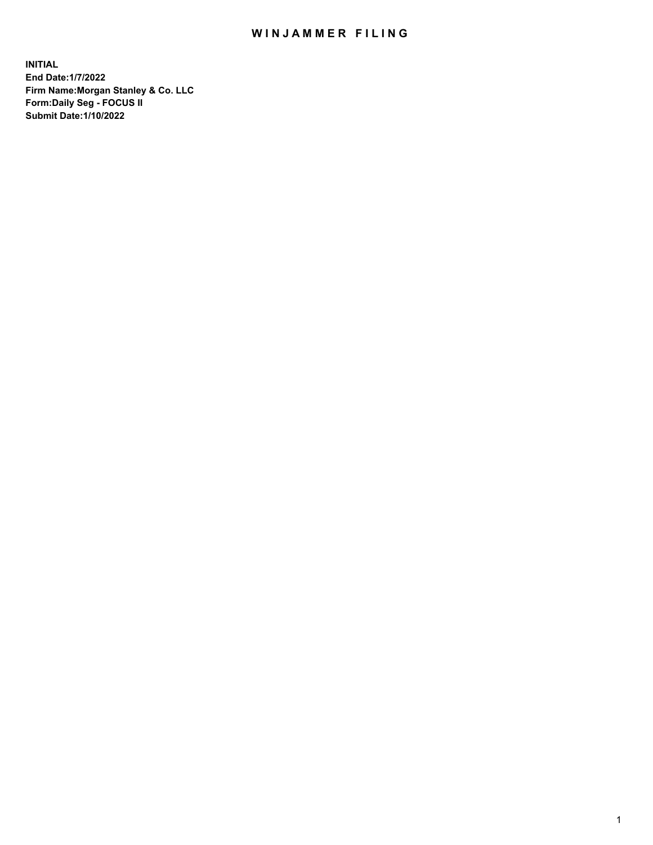## WIN JAMMER FILING

**INITIAL End Date:1/7/2022 Firm Name:Morgan Stanley & Co. LLC Form:Daily Seg - FOCUS II Submit Date:1/10/2022**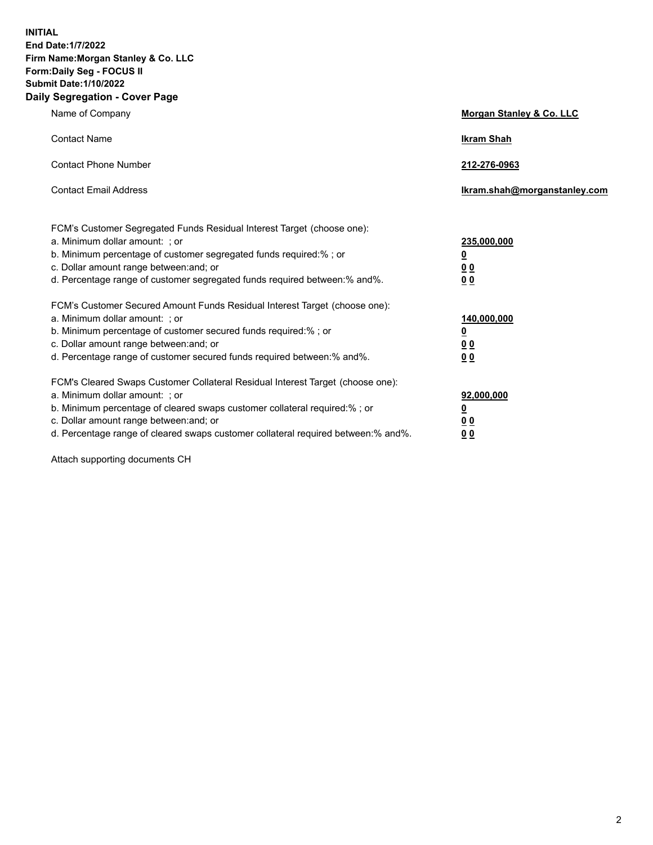**INITIAL End Date:1/7/2022 Firm Name:Morgan Stanley & Co. LLC Form:Daily Seg - FOCUS II Submit Date:1/10/2022 Daily Segregation - Cover Page**

| Name of Company                                                                                                                                                                                                                                                                                                                | <b>Morgan Stanley &amp; Co. LLC</b>                    |
|--------------------------------------------------------------------------------------------------------------------------------------------------------------------------------------------------------------------------------------------------------------------------------------------------------------------------------|--------------------------------------------------------|
| <b>Contact Name</b>                                                                                                                                                                                                                                                                                                            | <b>Ikram Shah</b>                                      |
| <b>Contact Phone Number</b>                                                                                                                                                                                                                                                                                                    | 212-276-0963                                           |
| <b>Contact Email Address</b>                                                                                                                                                                                                                                                                                                   | Ikram.shah@morganstanley.com                           |
| FCM's Customer Segregated Funds Residual Interest Target (choose one):<br>a. Minimum dollar amount: ; or<br>b. Minimum percentage of customer segregated funds required:% ; or<br>c. Dollar amount range between: and; or<br>d. Percentage range of customer segregated funds required between:% and%.                         | 235,000,000<br><u>0</u><br>0 Q<br>0 Q                  |
| FCM's Customer Secured Amount Funds Residual Interest Target (choose one):<br>a. Minimum dollar amount: ; or<br>b. Minimum percentage of customer secured funds required:% ; or<br>c. Dollar amount range between: and; or<br>d. Percentage range of customer secured funds required between: % and %.                         | 140,000,000<br><u>0</u><br><u>00</u><br>0 <sub>0</sub> |
| FCM's Cleared Swaps Customer Collateral Residual Interest Target (choose one):<br>a. Minimum dollar amount: ; or<br>b. Minimum percentage of cleared swaps customer collateral required:% ; or<br>c. Dollar amount range between: and; or<br>d. Percentage range of cleared swaps customer collateral required between:% and%. | 92,000,000<br><u>0</u><br>0 Q<br>00                    |

Attach supporting documents CH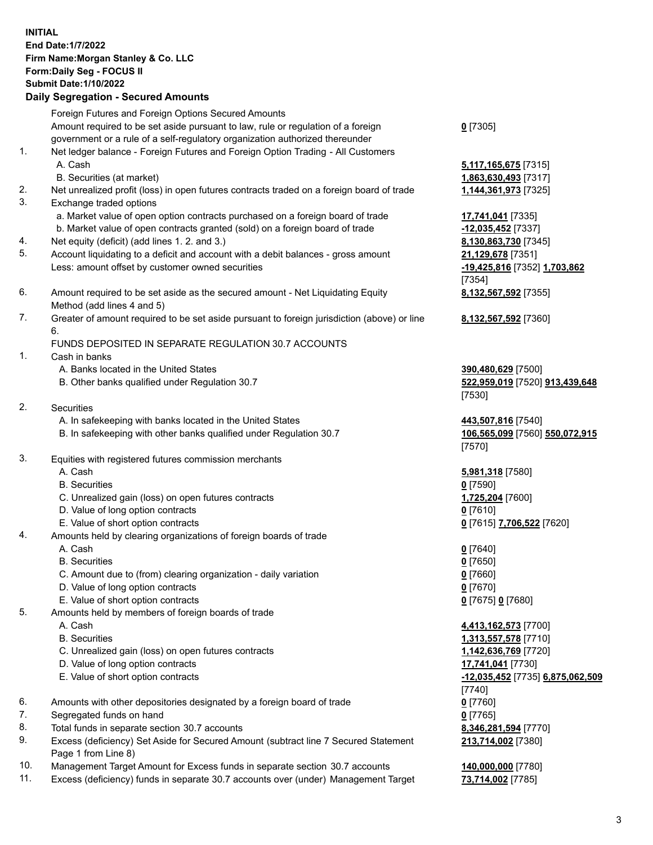## **INITIAL End Date:1/7/2022 Firm Name:Morgan Stanley & Co. LLC Form:Daily Seg - FOCUS II Submit Date:1/10/2022 Daily Segregation - Secured Amounts**

Foreign Futures and Foreign Options Secured Amounts Amount required to be set aside pursuant to law, rule or regulation of a foreign government or a rule of a self-regulatory organization authorized thereunder 1. Net ledger balance - Foreign Futures and Foreign Option Trading - All Customers A. Cash **5,117,165,675** [7315] B. Securities (at market) **1,863,630,493** [7317] 2. Net unrealized profit (loss) in open futures contracts traded on a foreign board of trade **1,144,361,973** [7325] 3. Exchange traded options a. Market value of open option contracts purchased on a foreign board of trade **17,741,041** [7335] b. Market value of open contracts granted (sold) on a foreign board of trade **-12,035,452** [7337] 4. Net equity (deficit) (add lines 1. 2. and 3.) **8,130,863,730** [7345] 5. Account liquidating to a deficit and account with a debit balances - gross amount **21,129,678** [7351] Less: amount offset by customer owned securities **-19,425,816** [7352] **1,703,862**

- 6. Amount required to be set aside as the secured amount Net Liquidating Equity Method (add lines 4 and 5)
- 7. Greater of amount required to be set aside pursuant to foreign jurisdiction (above) or line 6.

## FUNDS DEPOSITED IN SEPARATE REGULATION 30.7 ACCOUNTS

- 1. Cash in banks
	- A. Banks located in the United States **390,480,629** [7500]
	- B. Other banks qualified under Regulation 30.7 **522,959,019** [7520] **913,439,648**
- 2. Securities
	- A. In safekeeping with banks located in the United States **443,507,816** [7540]
	- B. In safekeeping with other banks qualified under Regulation 30.7 **106,565,099** [7560] **550,072,915**
- 3. Equities with registered futures commission merchants
	-
	- B. Securities **0** [7590]
	- C. Unrealized gain (loss) on open futures contracts **1,725,204** [7600]
	- D. Value of long option contracts **0** [7610]
	- E. Value of short option contracts **0** [7615] **7,706,522** [7620]
- 4. Amounts held by clearing organizations of foreign boards of trade
	- A. Cash **0** [7640]
	- B. Securities **0** [7650]
	- C. Amount due to (from) clearing organization daily variation **0** [7660]
	- D. Value of long option contracts **0** [7670]
	- E. Value of short option contracts **0** [7675] **0** [7680]
- 5. Amounts held by members of foreign boards of trade
	-
	-
	- C. Unrealized gain (loss) on open futures contracts **1,142,636,769** [7720]
	- D. Value of long option contracts **17,741,041** [7730]
	- E. Value of short option contracts **-12,035,452** [7735] **6,875,062,509**
- 6. Amounts with other depositories designated by a foreign board of trade **0** [7760]
- 7. Segregated funds on hand **0** [7765]
- 8. Total funds in separate section 30.7 accounts **8,346,281,594** [7770]
- 9. Excess (deficiency) Set Aside for Secured Amount (subtract line 7 Secured Statement Page 1 from Line 8)
- 10. Management Target Amount for Excess funds in separate section 30.7 accounts **140,000,000** [7780]
- 11. Excess (deficiency) funds in separate 30.7 accounts over (under) Management Target **73,714,002** [7785]

**0** [7305]

[7354] **8,132,567,592** [7355]

**8,132,567,592** [7360]

[7530]

[7570]

A. Cash **5,981,318** [7580]

 A. Cash **4,413,162,573** [7700] B. Securities **1,313,557,578** [7710] [7740] **213,714,002** [7380]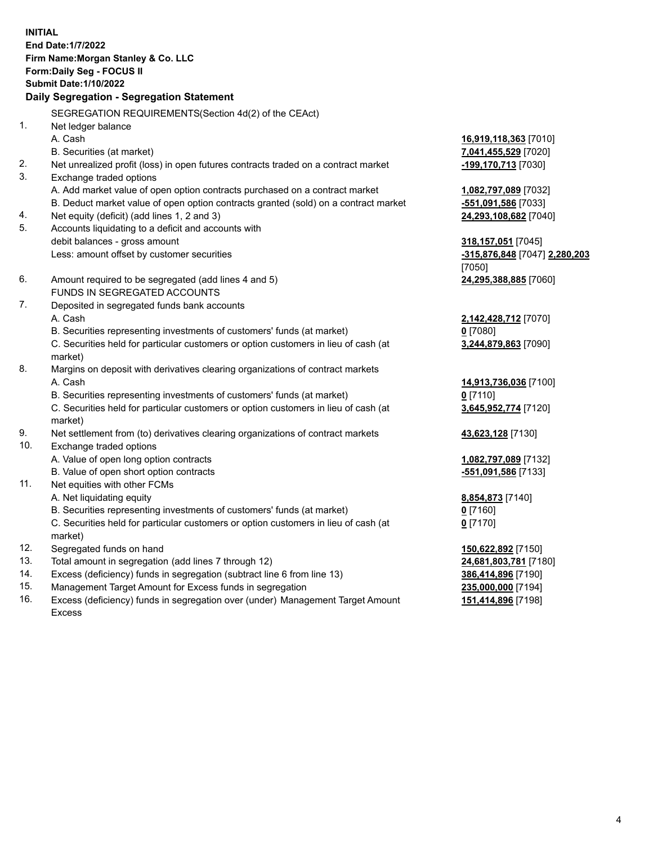**INITIAL End Date:1/7/2022 Firm Name:Morgan Stanley & Co. LLC Form:Daily Seg - FOCUS II Submit Date:1/10/2022 Daily Segregation - Segregation Statement** SEGREGATION REQUIREMENTS(Section 4d(2) of the CEAct) 1. Net ledger balance A. Cash **16,919,118,363** [7010] B. Securities (at market) **7,041,455,529** [7020] 2. Net unrealized profit (loss) in open futures contracts traded on a contract market **-199,170,713** [7030] 3. Exchange traded options A. Add market value of open option contracts purchased on a contract market **1,082,797,089** [7032] B. Deduct market value of open option contracts granted (sold) on a contract market **-551,091,586** [7033] 4. Net equity (deficit) (add lines 1, 2 and 3) **24,293,108,682** [7040] 5. Accounts liquidating to a deficit and accounts with debit balances - gross amount **318,157,051** [7045] Less: amount offset by customer securities **-315,876,848** [7047] **2,280,203** [7050] 6. Amount required to be segregated (add lines 4 and 5) **24,295,388,885** [7060] FUNDS IN SEGREGATED ACCOUNTS 7. Deposited in segregated funds bank accounts A. Cash **2,142,428,712** [7070] B. Securities representing investments of customers' funds (at market) **0** [7080] C. Securities held for particular customers or option customers in lieu of cash (at market) **3,244,879,863** [7090] 8. Margins on deposit with derivatives clearing organizations of contract markets A. Cash **14,913,736,036** [7100] B. Securities representing investments of customers' funds (at market) **0** [7110] C. Securities held for particular customers or option customers in lieu of cash (at market) **3,645,952,774** [7120] 9. Net settlement from (to) derivatives clearing organizations of contract markets **43,623,128** [7130] 10. Exchange traded options A. Value of open long option contracts **1,082,797,089** [7132] B. Value of open short option contracts **-551,091,586** [7133] 11. Net equities with other FCMs A. Net liquidating equity **8,854,873** [7140] B. Securities representing investments of customers' funds (at market) **0** [7160] C. Securities held for particular customers or option customers in lieu of cash (at market) **0** [7170] 12. Segregated funds on hand **150,622,892** [7150] 13. Total amount in segregation (add lines 7 through 12) **24,681,803,781** [7180] 14. Excess (deficiency) funds in segregation (subtract line 6 from line 13) **386,414,896** [7190] 15. Management Target Amount for Excess funds in segregation **235,000,000** [7194]

16. Excess (deficiency) funds in segregation over (under) Management Target Amount Excess

**151,414,896** [7198]